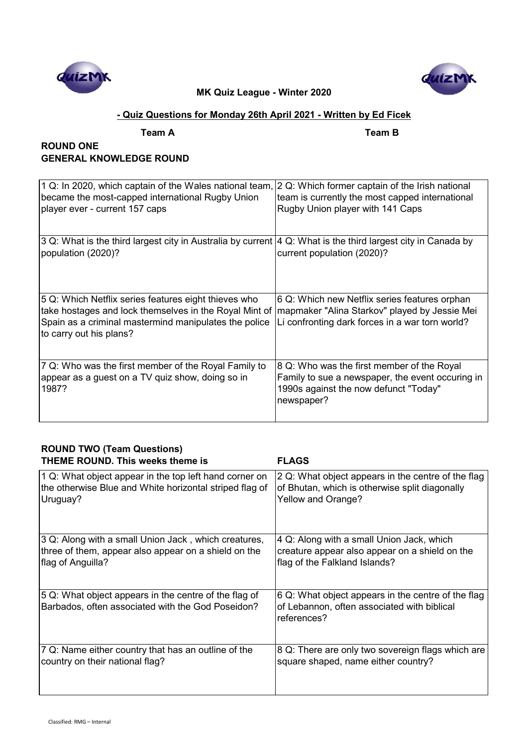



# **- Quiz Questions for Monday 26th April 2021 - Written by Ed Ficek**

**Team A Team B**

# **ROUND ONE GENERAL KNOWLEDGE ROUND**

| 1 Q: In 2020, which captain of the Wales national team,                                                       | 2 Q: Which former captain of the Irish national  |
|---------------------------------------------------------------------------------------------------------------|--------------------------------------------------|
| became the most-capped international Rugby Union                                                              | team is currently the most capped international  |
| player ever - current 157 caps                                                                                | Rugby Union player with 141 Caps                 |
|                                                                                                               |                                                  |
| 3 Q: What is the third largest city in Australia by current  4 Q: What is the third largest city in Canada by |                                                  |
| population (2020)?                                                                                            | current population (2020)?                       |
|                                                                                                               |                                                  |
| 5 Q: Which Netflix series features eight thieves who                                                          | 6 Q: Which new Netflix series features orphan    |
| take hostages and lock themselves in the Royal Mint of                                                        | mapmaker "Alina Starkov" played by Jessie Mei    |
| Spain as a criminal mastermind manipulates the police                                                         | Li confronting dark forces in a war torn world?  |
| to carry out his plans?                                                                                       |                                                  |
|                                                                                                               |                                                  |
| 7 Q: Who was the first member of the Royal Family to                                                          | 8 Q: Who was the first member of the Royal       |
| appear as a guest on a TV quiz show, doing so in                                                              | Family to sue a newspaper, the event occuring in |
| 1987?                                                                                                         | 1990s against the now defunct "Today"            |
|                                                                                                               | newspaper?                                       |
|                                                                                                               |                                                  |
|                                                                                                               |                                                  |

# **ROUND TWO (Team Questions)**

| <b>THEME ROUND. This weeks theme is</b>                                                                    | <b>FLAGS</b>                                                                                                     |
|------------------------------------------------------------------------------------------------------------|------------------------------------------------------------------------------------------------------------------|
| 1 Q: What object appear in the top left hand corner on                                                     | 2 Q: What object appears in the centre of the flag                                                               |
| the otherwise Blue and White horizontal striped flag of                                                    | of Bhutan, which is otherwise split diagonally                                                                   |
| Uruguay?                                                                                                   | Yellow and Orange?                                                                                               |
| 3 Q: Along with a small Union Jack, which creatures,                                                       | 4 Q: Along with a small Union Jack, which                                                                        |
| three of them, appear also appear on a shield on the                                                       | creature appear also appear on a shield on the                                                                   |
| flag of Anguilla?                                                                                          | flag of the Falkland Islands?                                                                                    |
| 5 Q: What object appears in the centre of the flag of<br>Barbados, often associated with the God Poseidon? | 6 Q: What object appears in the centre of the flag<br>of Lebannon, often associated with biblical<br>references? |
| 7 Q: Name either country that has an outline of the                                                        | 8 Q: There are only two sovereign flags which are                                                                |
| country on their national flag?                                                                            | square shaped, name either country?                                                                              |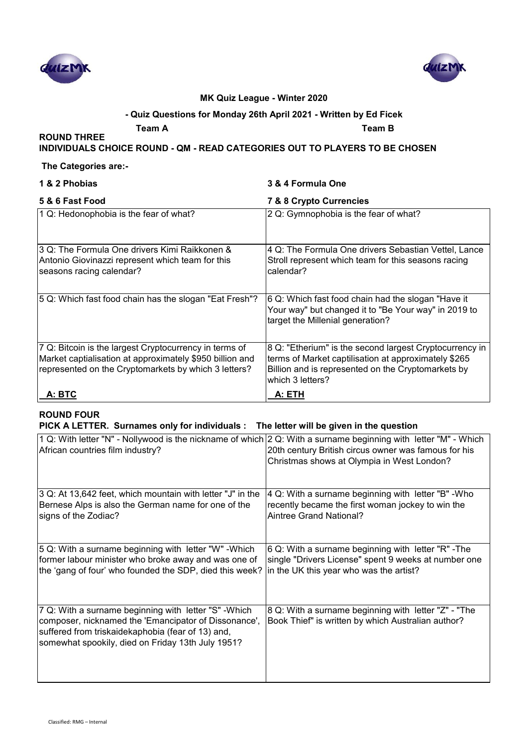



#### **- Quiz Questions for Monday 26th April 2021 - Written by Ed Ficek**

**Team A Team B**

# **INDIVIDUALS CHOICE ROUND - QM - READ CATEGORIES OUT TO PLAYERS TO BE CHOSEN**

#### **The Categories are:-**

**ROUND THREE** 

# **1 & 2 Phobias 3 & 4 Formula One**

| 5 & 6 Fast Food                                                                                                                                                            | 7 & 8 Crypto Currencies                                                                                                                                                                   |
|----------------------------------------------------------------------------------------------------------------------------------------------------------------------------|-------------------------------------------------------------------------------------------------------------------------------------------------------------------------------------------|
| 1 Q: Hedonophobia is the fear of what?                                                                                                                                     | 2 Q: Gymnophobia is the fear of what?                                                                                                                                                     |
| 3 Q: The Formula One drivers Kimi Raikkonen &<br>Antonio Giovinazzi represent which team for this<br>seasons racing calendar?                                              | 4 Q: The Formula One drivers Sebastian Vettel, Lance<br>Stroll represent which team for this seasons racing<br>calendar?                                                                  |
| 5 Q: Which fast food chain has the slogan "Eat Fresh"?                                                                                                                     | 6 Q: Which fast food chain had the slogan "Have it<br>Your way" but changed it to "Be Your way" in 2019 to<br>target the Millenial generation?                                            |
| 7 Q: Bitcoin is the largest Cryptocurrency in terms of<br>Market captialisation at approximately \$950 billion and<br>represented on the Cryptomarkets by which 3 letters? | 8 Q: "Etherium" is the second largest Cryptocurrency in<br>terms of Market captilisation at approximately \$265<br>Billion and is represented on the Cryptomarkets by<br>which 3 letters? |
| A: BTC                                                                                                                                                                     | A: ETH                                                                                                                                                                                    |

### **ROUND FOUR**

#### **PICK A LETTER. Surnames only for individuals : The letter will be given in the question**

| 1 Q: With letter "N" - Nollywood is the nickname of which 2 Q: With a surname beginning with letter "M" - Which                                                                                                         | 20th century British circus owner was famous for his                                                       |
|-------------------------------------------------------------------------------------------------------------------------------------------------------------------------------------------------------------------------|------------------------------------------------------------------------------------------------------------|
| African countries film industry?                                                                                                                                                                                        | Christmas shows at Olympia in West London?                                                                 |
| 3 Q: At 13,642 feet, which mountain with letter "J" in the                                                                                                                                                              | 4 Q: With a surname beginning with letter "B" -Who                                                         |
| Bernese Alps is also the German name for one of the                                                                                                                                                                     | recently became the first woman jockey to win the                                                          |
| signs of the Zodiac?                                                                                                                                                                                                    | Aintree Grand National?                                                                                    |
| 5 Q: With a surname beginning with letter "W" - Which                                                                                                                                                                   | 6 Q: With a surname beginning with letter "R" - The                                                        |
| former labour minister who broke away and was one of                                                                                                                                                                    | single "Drivers License" spent 9 weeks at number one                                                       |
| the 'gang of four' who founded the SDP, died this week?                                                                                                                                                                 | in the UK this year who was the artist?                                                                    |
| 7 Q: With a surname beginning with letter "S" - Which<br>composer, nicknamed the 'Emancipator of Dissonance',<br>suffered from triskaidekaphobia (fear of 13) and,<br>somewhat spookily, died on Friday 13th July 1951? | 8 Q: With a surname beginning with letter "Z" - "The<br>Book Thief" is written by which Australian author? |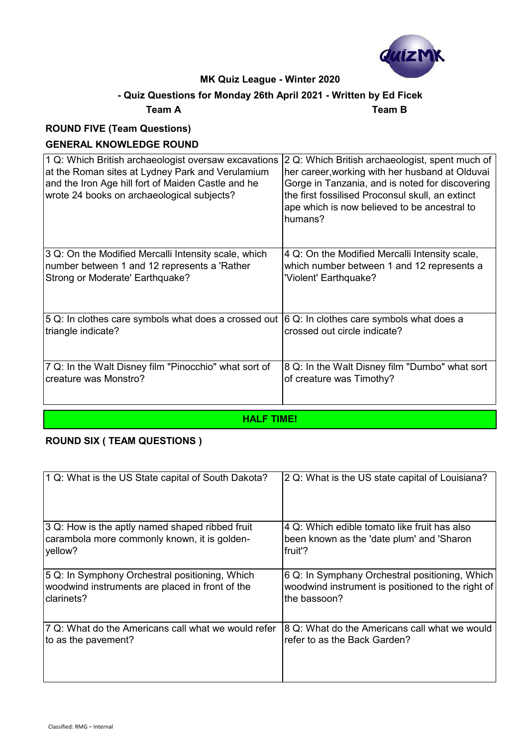

# **- Quiz Questions for Monday 26th April 2021 - Written by Ed Ficek**

#### **Team A Team B**

# **ROUND FIVE (Team Questions)**

# **GENERAL KNOWLEDGE ROUND**

| 1 Q: Which British archaeologist oversaw excavations  | 2 Q: Which British archaeologist, spent much of                                                             |
|-------------------------------------------------------|-------------------------------------------------------------------------------------------------------------|
| at the Roman sites at Lydney Park and Verulamium      | her career, working with her husband at Olduvai                                                             |
| and the Iron Age hill fort of Maiden Castle and he    | Gorge in Tanzania, and is noted for discovering                                                             |
| wrote 24 books on archaeological subjects?            | the first fossilised Proconsul skull, an extinct<br>ape which is now believed to be ancestral to<br>humans? |
|                                                       |                                                                                                             |
| 3 Q: On the Modified Mercalli Intensity scale, which  | 4 Q: On the Modified Mercalli Intensity scale,                                                              |
| number between 1 and 12 represents a 'Rather          | which number between 1 and 12 represents a                                                                  |
| Strong or Moderate' Earthquake?                       | 'Violent' Earthquake?                                                                                       |
| 5 Q: In clothes care symbols what does a crossed out  | 6 Q: In clothes care symbols what does a                                                                    |
| triangle indicate?                                    | crossed out circle indicate?                                                                                |
| 7 Q: In the Walt Disney film "Pinocchio" what sort of | 8 Q: In the Walt Disney film "Dumbo" what sort                                                              |
| creature was Monstro?                                 | of creature was Timothy?                                                                                    |

#### **HALF TIME!**

# **ROUND SIX ( TEAM QUESTIONS )**

| 1 Q: What is the US State capital of South Dakota?  | 2 Q: What is the US state capital of Louisiana?   |
|-----------------------------------------------------|---------------------------------------------------|
| 3 Q: How is the aptly named shaped ribbed fruit     | 4 Q: Which edible tomato like fruit has also      |
| carambola more commonly known, it is golden-        | been known as the 'date plum' and 'Sharon         |
| yellow?                                             | fruit'?                                           |
| 5 Q: In Symphony Orchestral positioning, Which      | 6 Q: In Symphany Orchestral positioning, Which    |
| woodwind instruments are placed in front of the     | woodwind instrument is positioned to the right of |
| clarinets?                                          | the bassoon?                                      |
| 7 Q: What do the Americans call what we would refer | 8 Q: What do the Americans call what we would     |
| to as the pavement?                                 | refer to as the Back Garden?                      |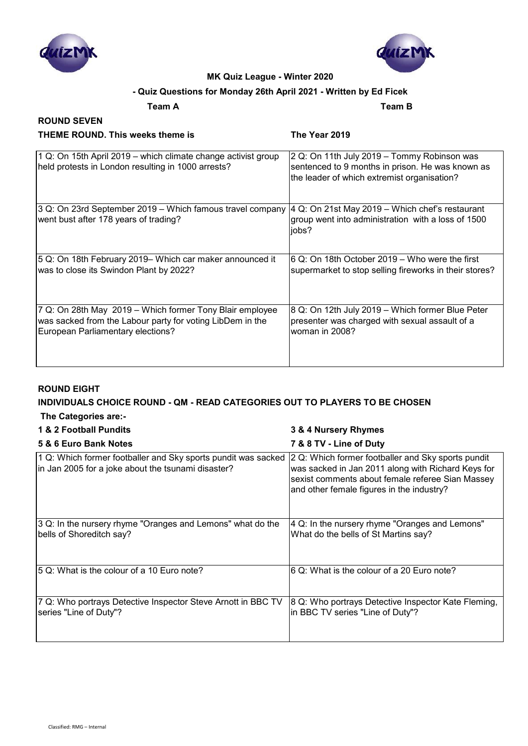



# **- Quiz Questions for Monday 26th April 2021 - Written by Ed Ficek**

#### **Team A Team B**

#### **ROUND SEVEN THEME ROUND. This weeks theme is The Year 2019**

| 1 Q: On 15th April 2019 – which climate change activist group<br>held protests in London resulting in 1000 arrests? | 2 Q: On 11th July 2019 - Tommy Robinson was<br>sentenced to 9 months in prison. He was known as<br>the leader of which extremist organisation? |
|---------------------------------------------------------------------------------------------------------------------|------------------------------------------------------------------------------------------------------------------------------------------------|
| 3 Q: On 23rd September 2019 – Which famous travel company<br>went bust after 178 years of trading?                  | 4 Q: On 21st May 2019 - Which chef's restaurant<br>group went into administration with a loss of 1500<br>jobs?                                 |
| 5 Q: On 18th February 2019– Which car maker announced it                                                            | 6 Q: On 18th October 2019 – Who were the first                                                                                                 |
| was to close its Swindon Plant by 2022?                                                                             | supermarket to stop selling fireworks in their stores?                                                                                         |
| 7 Q: On 28th May 2019 – Which former Tony Blair employee                                                            | 8 Q: On 12th July 2019 - Which former Blue Peter                                                                                               |
| was sacked from the Labour party for voting LibDem in the                                                           | presenter was charged with sexual assault of a                                                                                                 |
| European Parliamentary elections?                                                                                   | woman in 2008?                                                                                                                                 |

#### **ROUND EIGHT**

# **INDIVIDUALS CHOICE ROUND - QM - READ CATEGORIES OUT TO PLAYERS TO BE CHOSEN**

 **The Categories are:-**

# **1 & 2 Football Pundits 3 & 4 Nursery Rhymes**

| 5 & 6 Euro Bank Notes                                                                                               | 7 & 8 TV - Line of Duty                                                                                                                                                                                   |
|---------------------------------------------------------------------------------------------------------------------|-----------------------------------------------------------------------------------------------------------------------------------------------------------------------------------------------------------|
| 1 Q: Which former footballer and Sky sports pundit was sacked<br>in Jan 2005 for a joke about the tsunami disaster? | 2 Q: Which former footballer and Sky sports pundit<br>was sacked in Jan 2011 along with Richard Keys for<br>sexist comments about female referee Sian Massey<br>and other female figures in the industry? |
| 3 Q: In the nursery rhyme "Oranges and Lemons" what do the<br>bells of Shoreditch say?                              | 4 Q: In the nursery rhyme "Oranges and Lemons"<br>What do the bells of St Martins say?                                                                                                                    |
| 5 Q: What is the colour of a 10 Euro note?                                                                          | 6 Q: What is the colour of a 20 Euro note?                                                                                                                                                                |
| 7 Q: Who portrays Detective Inspector Steve Arnott in BBC TV<br>series "Line of Duty"?                              | 8 Q: Who portrays Detective Inspector Kate Fleming,<br>in BBC TV series "Line of Duty"?                                                                                                                   |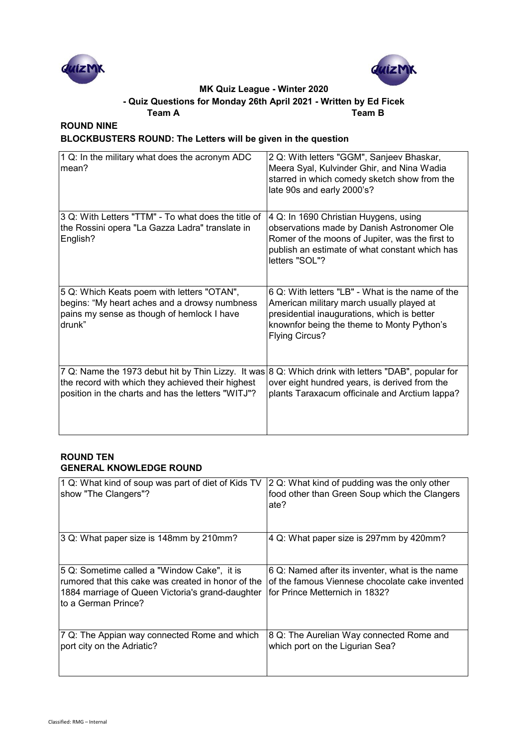



# **- Quiz Questions for Monday 26th April 2021 - Written by Ed Ficek**

**Team A Team B**

# **ROUND NINE**

# **BLOCKBUSTERS ROUND: The Letters will be given in the question**

| 1 Q: In the military what does the acronym ADC<br>mean?                                                                                                       | 2 Q: With letters "GGM", Sanjeev Bhaskar,<br>Meera Syal, Kulvinder Ghir, and Nina Wadia<br>starred in which comedy sketch show from the<br>late 90s and early 2000's?                                               |
|---------------------------------------------------------------------------------------------------------------------------------------------------------------|---------------------------------------------------------------------------------------------------------------------------------------------------------------------------------------------------------------------|
| 3 Q: With Letters "TTM" - To what does the title of<br>the Rossini opera "La Gazza Ladra" translate in<br>English?                                            | 4 Q: In 1690 Christian Huygens, using<br>observations made by Danish Astronomer Ole<br>Romer of the moons of Jupiter, was the first to<br>publish an estimate of what constant which has<br>letters "SOL"?          |
| 5 Q: Which Keats poem with letters "OTAN",<br>begins: "My heart aches and a drowsy numbness<br>pains my sense as though of hemlock I have<br>drunk"           | 6 Q: With letters "LB" - What is the name of the<br>American military march usually played at<br>presidential inaugurations, which is better<br>knownfor being the theme to Monty Python's<br><b>Flying Circus?</b> |
| 7 Q: Name the 1973 debut hit by Thin Lizzy. It was<br>the record with which they achieved their highest<br>position in the charts and has the letters "WITJ"? | 8 Q: Which drink with letters "DAB", popular for<br>over eight hundred years, is derived from the<br>plants Taraxacum officinale and Arctium lappa?                                                                 |

#### **ROUND TEN GENERAL KNOWLEDGE ROUND**

| 1 Q: What kind of soup was part of diet of Kids TV<br>show "The Clangers"?                                                                                                   | 2 Q: What kind of pudding was the only other<br>food other than Green Soup which the Clangers<br>late?                               |
|------------------------------------------------------------------------------------------------------------------------------------------------------------------------------|--------------------------------------------------------------------------------------------------------------------------------------|
| 3 Q: What paper size is 148mm by 210mm?                                                                                                                                      | 4 Q: What paper size is 297mm by 420mm?                                                                                              |
| 5 Q: Sometime called a "Window Cake", it is<br>rumored that this cake was created in honor of the<br>1884 marriage of Queen Victoria's grand-daughter<br>to a German Prince? | ∣6 Q: Named after its inventer, what is the name<br>of the famous Viennese chocolate cake invented<br>for Prince Metternich in 1832? |
| 7 Q: The Appian way connected Rome and which<br>port city on the Adriatic?                                                                                                   | 8 Q: The Aurelian Way connected Rome and<br>which port on the Ligurian Sea?                                                          |